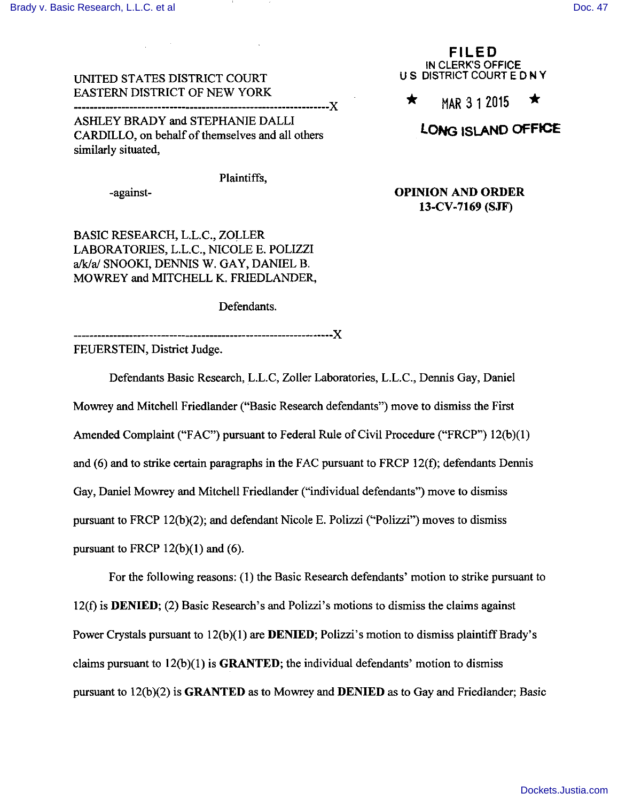# UNITED STATES DISTRICT COURT EASTERN DISTRICT OF NEW YORK

----------------------------------------------------------------)( ASHLEY BRADY and STEPHANIE DALLI

CARDILLO, on behalf of themselves and all others similarly situated,

Plaintiffs,

-against-

BASIC RESEARCH, L.L.C., ZOLLER LABORATORIES, L.L.C., NICOLE E. POLIZZI *alkla/* SNOOKI, DENNIS W. GAY, DANIEL B. MOWREY and MITCHELL K. FRIEDLANDER,

Defendants.

-----------------------------------------------------------------)( FEUERSTEIN, District Judge.

Defendants Basic Research, L.L.C, Zoller Laboratories, L.L.C., Dennis Gay, Daniel Mowrey and Mitchell Friedlander ("Basic Research defendants") move to dismiss the First Amended Complaint ("FAC") pursuant to Federal Rule of Civil Procedure ("FRCP") 12(b)(1) and (6) and to strike certain paragraphs in the FAC pursuant to FRCP 12(f); defendants Dennis Gay, Daniel Mowrey and Mitchell Friedlander ("individual defendants") move to dismiss pursuant to FRCP 12(b)(2); and defendant Nicole E. Polizzi ("Polizzi") moves to dismiss pursuant to FRCP  $12(b)(1)$  and  $(6)$ .

For the following reasons: (I) the Basic Research defendants' motion to strike pursuant to 12(f) is **DENIED;** (2) Basic Research's and Polizzi's motions to dismiss the claims against Power Crystals pursuant to 12(b)(l) are **DENIED;** Polizzi's motion to dismiss plaintiff Brady's claims pursuant to 12(b)(l) is **GRANTED;** the individual defendants' motion to dismiss pursuant to 12(b)(2) is **GRANTED** as to Mowrey and **DENIED** as to Gay and Friedlander; Basic

 $\star$  MAR 3 1 2015

**LONG ISLAND OFFICE** 

**OPINION AND ORDER 13-CV-7169 (SJF)**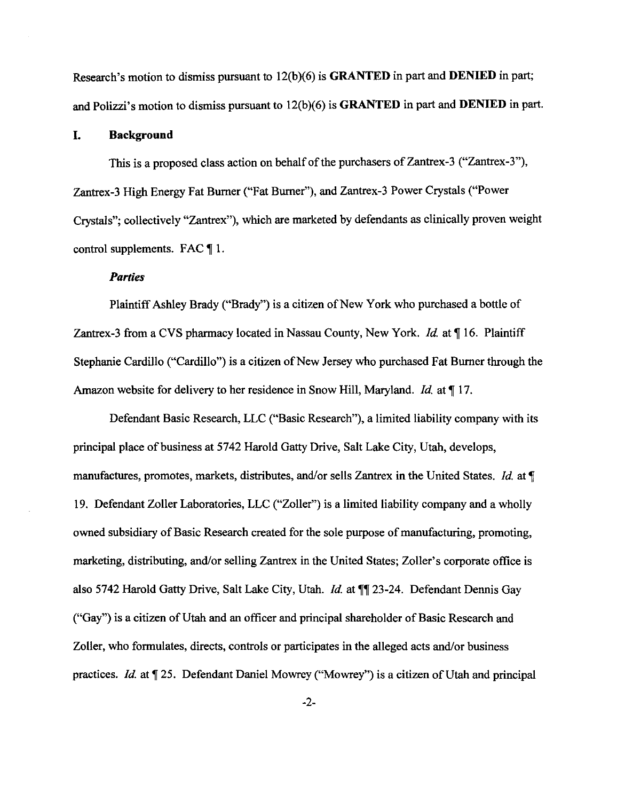Research's motion to dismiss pursuant to 12(b)(6) is **GRANTED** in part and **DENIED** in part; and Polizzi's motion to dismiss pursuant to 12(b)(6) is **GRANTED** in part and **DENIED** in part.

### **I. Background**

This is a proposed class action on behalf of the purchasers of Zantrex-3 ("Zantrex-3"), Zantrex-3 High Energy Fat Burner ("Fat Burner"), and Zantrex-3 Power Crystals ("Power Crystals"; collectively "Zantrex"), which are marketed by defendants as clinically proven weight control supplements. FAC  $\P$  1.

#### *Parties*

Plaintiff Ashley Brady ("Brady") is a citizen of New York who purchased a bottle of Zantrex-3 from a CVS pharmacy located in Nassau County, New York. *Id.* at ¶16. Plaintiff Stephanie Cardillo ("Cardillo") is a citizen of New Jersey who purchased Fat Burner through the Amazon website for delivery to her residence in Snow Hill, Maryland. Id. at  $\P$  17.

Defendant Basic Research, LLC ("Basic Research"), a limited liability company with its principal place of business at 5742 Harold Gatty Drive, Salt Lake City, Utah, develops, manufactures, promotes, markets, distributes, and/or sells Zantrex in the United States. *Id.*  19. Defendant Zoller Laboratories, LLC ("Zoller") is a limited liability company and a wholly owned subsidiary of Basic Research created for the sole purpose of manufacturing, promoting, marketing, distributing, and/or selling Zantrex in the United States; Zoller's corporate office is also 5742 Harold Gatty Drive, Salt Lake City, Utah. *Id.* at  $\P$  23-24. Defendant Dennis Gay ("Gay") is a citizen of Utah and an officer and principal shareholder of Basic Research and Zoller, who formulates, directs, controls or participates in the alleged acts and/or business practices. *Id.* at  $\P$  25. Defendant Daniel Mowrey ("Mowrey") is a citizen of Utah and principal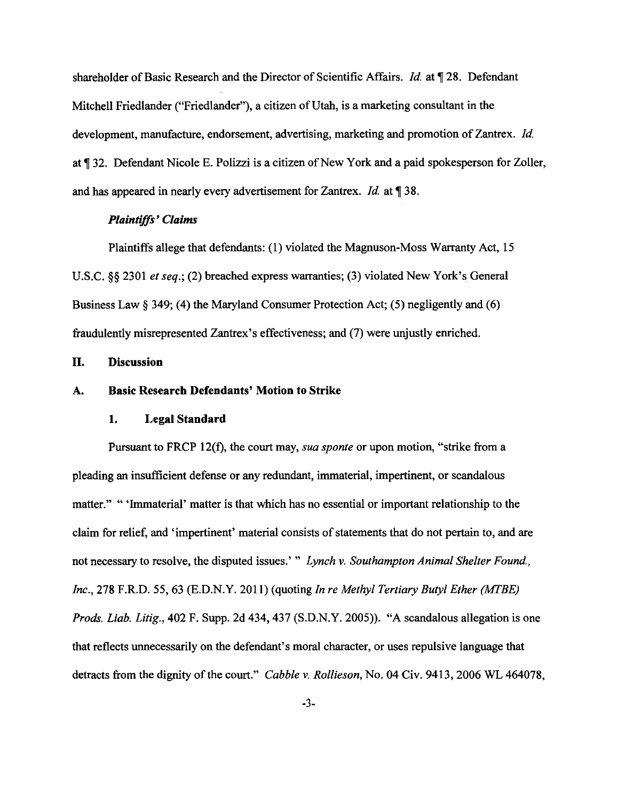shareholder of Basic Research and the Director of Scientific Affairs. *Id.* at  $\mathbb{I}$  28. Defendant Mitchell Friedlander ("Friedlander"), a citizen of Utah, is a marketing consultant in the development, manufacture, endorsement, advertising, marketing and promotion of Zantrex. Id. at ¶ 32. Defendant Nicole E. Polizzi is a citizen of New York and a paid spokesperson for Zoller, and has appeared in nearly every advertisement for Zantrex. *Id.* at 138.

## *Plaintiffs' Claims*

Plaintiffs allege that defendants: (1) violated the Magnuson-Moss Warranty Act, 15 U.S.C. §§ 2301 *et seq.;* (2) breached express warranties; (3) violated New York's General Business Law§ 349; (4) the Maryland Consumer Protection Act; (5) negligently and (6) fraudulently misrepresented Zantrex's effectiveness; and (7) were unjustly enriched.

## **II. Discussion**

#### **A. Basic Research Defendants' Motion to Strike**

#### **1. Legal Standard**

Pursuant to FRCP 12(f), the court may, *sua sponte* or upon motion, "strike from a pleading an insufficient defense or any redundant, immaterial, impertinent, or scandalous matter." "'Immaterial' matter is that which has no essential or important relationship to the claim for relief, and 'impertinent' material consists of statements that do not pertain to, and are not necessary to resolve, the disputed issues.' " *Lynch* v. *Southampton Animal Shelter Found., Inc.,* 278 F.R.D. 55, 63 (E.D.N.Y. 2011) (quoting *In re Methyl Tertiary Butyl Ether (MTBE) Prods. Liab. Litig.,* 402 F. Supp. 2d 434,437 (S.D.N.Y. 2005)). "A scandalous allegation is one that reflects unnecessarily on the defendant's moral character, or uses repulsive language that detracts from the dignity of the court." *Cabble v. Rollieson*, No. 04 Civ. 9413, 2006 WL 464078,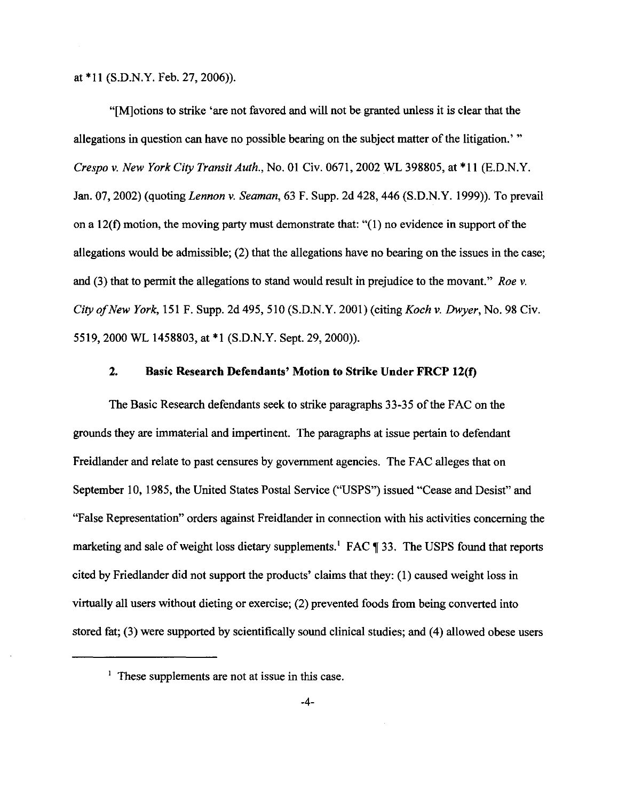at \*II (S.D.N.Y. Feb. 27, 2006)).

"[M]otions to strike 'are not favored and will not be granted unless it is clear that the allegations in question can have no possible bearing on the subject matter of the litigation.' " *Crespo v. New York City Transit Auth.,* No. 01 Civ. 0671,2002 WL 398805, at **\*11** (E.D.N.Y. Jan. 07, 2002)(quoting *Lennon v. Seaman,* 63 F. Supp. 2d 428,446 (S.D.N.Y. 1999)). To prevail on a  $12(f)$  motion, the moving party must demonstrate that: " $(1)$  no evidence in support of the allegations would be admissible; (2) that the allegations have no bearing on the issues in the case; and (3) that to permit the allegations to stand would result in prejudice to the movant." *Roe v. City of New York,* !51 F. Supp. 2d 495, 510 (S.D.N.Y. 2001) (citing *Koch v. Dwyer,* No. 98 Civ. 5519,2000 WL 1458803, at \*I (S.D.N.Y. Sept. 29, 2000)).

# **2. Basic Research Defendants' Motion to Strike Under FRCP 12(f)**

The Basic Research defendants seek to strike paragraphs 33-35 of the FAC on the grounds they are immaterial and impertinent. The paragraphs at issue pertain to defendant Freidlander and relate to past censures by government agencies. The FAC alleges that on September 10, 1985, the United States Postal Service ("USPS") issued "Cease and Desist" and "False Representation" orders against Freidlander in connection with his activities concerning the marketing and sale of weight loss dietary supplements.<sup>1</sup> FAC  $\P$  33. The USPS found that reports cited by Friedlander did not support the products' claims that they: (1) caused weight loss in virtually all users without dieting or exercise; (2) prevented foods from being converted into stored fat; (3) were supported by scientifically sound clinical studies; and (4) allowed obese users

 $<sup>1</sup>$  These supplements are not at issue in this case.</sup>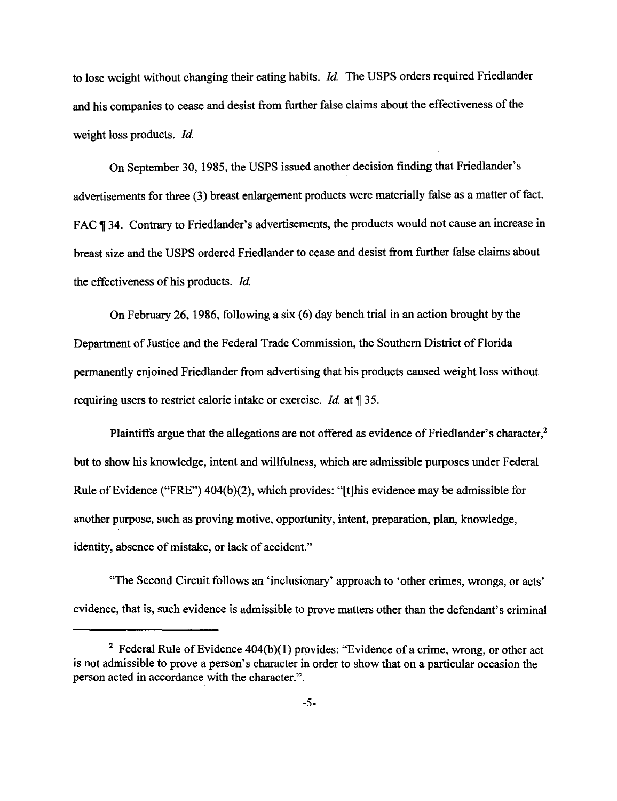to lose weight without changing their eating habits. *!d.* The USPS orders required Friedlander and his companies to cease and desist from further false claims about the effectiveness of the weight loss products. *Id.* 

On September 30, 1985, the USPS issued another decision finding that Friedlander's advertisements for three (3) breast enlargement products were materially false as a matter of fact. FAC ¶ 34. Contrary to Friedlander's advertisements, the products would not cause an increase in breast size and the USPS ordered Friedlander to cease and desist from further false claims about the effectiveness of his products. *!d.* 

On February 26, 1986, following a six (6) day bench trial in an action brought by the Department of Justice and the Federal Trade Commission, the Southern District of Florida permanently enjoined Friedlander from advertising that his products caused weight loss without requiring users to restrict calorie intake or exercise. *Id.* at  $\P$  35.

Plaintiffs argue that the allegations are not offered as evidence of Friedlander's character,<sup>2</sup> but to show his knowledge, intent and willfulness, which are admissible purposes under Federal Rule of Evidence ("FRE") 404(b)(2), which provides: "[t]his evidence may be admissible for another purpose, such as proving motive, opportunity, intent, preparation, plan, knowledge, identity, absence of mistake, or lack of accident."

"The Second Circuit follows an 'inclusionary' approach to 'other crimes, wrongs, or acts' evidence, that is, such evidence is admissible to prove matters other than the defendant's criminal

<sup>&</sup>lt;sup>2</sup> Federal Rule of Evidence  $404(b)(1)$  provides: "Evidence of a crime, wrong, or other act is not admissible to prove a person's character in order to show that on a particular occasion the person acted in accordance with the character.".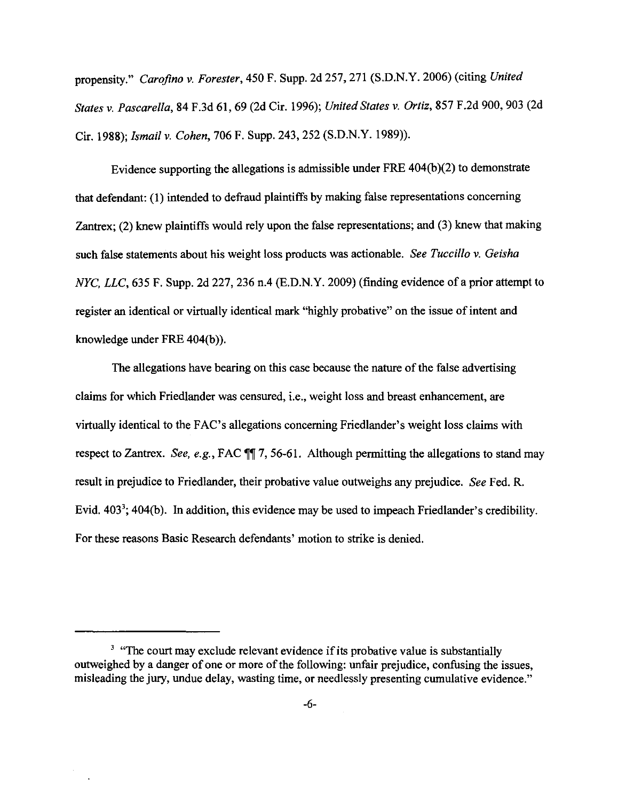propensity." *Carojino v. Forester,* 450 F. Supp. 2d 257,271 (S.D.N.Y. 2006) (citing *United States v. Pascarella,* 84 F.3d 61, 69 (2d Cir. 1996); *United States v. Ortiz,* 857 F.2d 900,903 (2d Cir. 1988); *Ismail v. Cohen,* 706 F. Supp. 243,252 (S.D.N.Y. 1989)).

Evidence supporting the allegations is admissible under  $FRE 404(b)(2)$  to demonstrate that defendant: (1) intended to defraud plaintiffs by making false representations concerning Zantrex; (2) knew plaintiffs would rely upon the false representations; and (3) knew that making such false statements about his weight loss products was actionable. *See Tuccillo v. Geisha*  NYC, LLC, 635 F. Supp. 2d 227, 236 n.4 (E.D.N.Y. 2009) (finding evidence of a prior attempt to register an identical or virtually identical mark "highly probative" on the issue of intent and knowledge under FRE 404(b)).

The allegations have bearing on this case because the nature of the false advertising claims for which Friedlander was censured, i.e., weight loss and breast enhancement, are virtually identical to the FAC's allegations concerning Friedlander's weight loss claims with respect to Zantrex. *See, e.g.*, FAC  $\P\P$  7, 56-61. Although permitting the allegations to stand may result in prejudice to Friedlander, their probative value outweighs any prejudice. *See* Fed. R. Evid.  $403^3$ ;  $404(b)$ . In addition, this evidence may be used to impeach Friedlander's credibility. For these reasons Basic Research defendants' motion to strike is denied.

 $3$  "The court may exclude relevant evidence if its probative value is substantially outweighed by a danger of one or more of the following: unfair prejudice, confusing the issues, misleading the jury, undue delay, wasting time, or needlessly presenting cumulative evidence."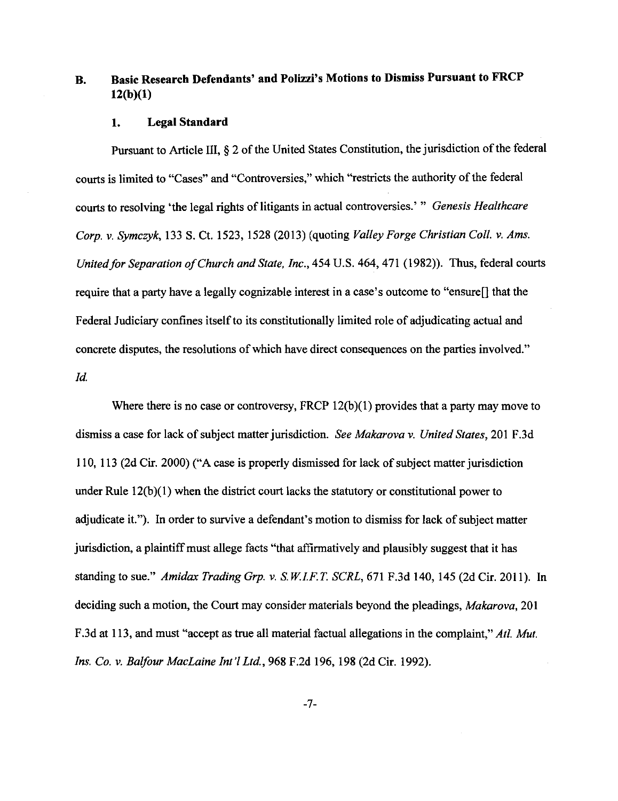# **B. Basic Research Defendants' and Polizzi's Motions to Dismiss Pursuant to FRCP 12(b)(l)**

#### **1. Legal Standard**

Pursuant to Article III, § 2 of the United States Constitution, the jurisdiction of the federal courts is limited to "Cases" and "Controversies," which "restricts the authority of the federal courts to resolving 'the legal rights of litigants in actual controversies.' " *Genesis Healthcare Corp. v. Symczyk,* 133 S. Ct. 1523, 1528 (2013) (quoting *Valley Forge Christian Col!. v. Ams. United for Separation of Church and State, Inc.,* 454 U.S. 464,471 (1982)). Thus, federal courts require that a party have a legally cognizable interest in a case's outcome to "ensure[] that the Federal Judiciary confines itself to its constitutionally limited role of adjudicating actual and concrete disputes, the resolutions of which have direct consequences on the parties involved." *!d.* 

Where there is no case or controversy, FRCP 12(b)(1) provides that a party may move to dismiss a case for lack of subject matter jurisdiction. *See Makarova v. United States,* 201 F.3d 110, 113 (2d Cir. 2000) ("A case is properly dismissed for lack of subject matter jurisdiction under Rule  $12(b)(1)$  when the district court lacks the statutory or constitutional power to adjudicate it."). In order to survive a defendant's motion to dismiss for lack of subject matter jurisdiction, a plaintiff must allege facts "that affirmatively and plausibly suggest that it has standing to sue." *Amidax Trading Grp. v. S. WLF.T. SCRL,* 671 F.3d 140, 145 (2d Cir. 2011). In deciding such a motion, the Court may consider materials beyond the pleadings, *Makarova,* 201 F.3d at 113, and must "accept as true all material factual allegations in the complaint," *Atl. Mut. Ins. Co. v. Balfour MacLaine Int'l Ltd.,* 968 F.2d 196, 198 (2d Cir. 1992).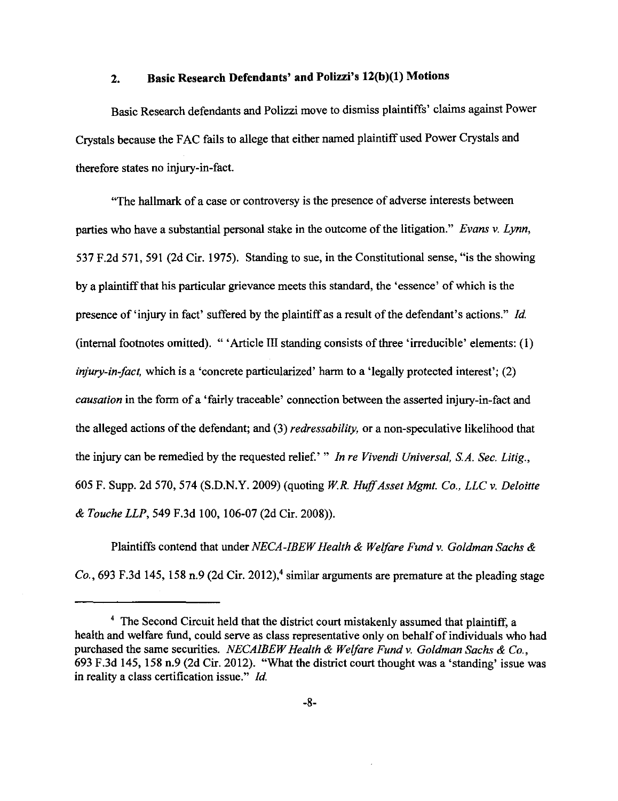#### **2. Basic Research Defendants' and Polizzi's 12(b)(l) Motions**

Basic Research defendants and Polizzi move to dismiss plaintiffs' claims against Power Crystals because the FAC fails to allege that either named plaintiff used Power Crystals and therefore states no injury-in-fact.

"The hallmark of a case or controversy is the presence of adverse interests between parties who have a substantial personal stake in the outcome of the litigation." *Evans v. Lynn,*  537 F.2d 571,591 (2d Cir. 1975). Standing to sue, in the Constitutional sense, "is the showing by a plaintiff that his particular grievance meets this standard, the 'essence' of which is the presence of'injury in fact' suffered by the plaintiff as a result of the defendant's actions." *!d.*  (internal footnotes omitted). "'Article III standing consists of three 'irreducible' elements: (1) *injury-in-fact,* which is a 'concrete particularized' harm to a 'legally protected interest'; (2) *causation* in the form of a 'fairly traceable' connection between the asserted injury-in-fact and the alleged actions of the defendant; and (3) *redressability,* or a non-speculative likelihood that the injury can be remedied by the requested relief.' " *In re Vivendi Universal, S.A. Sec. Litig.,*  605 F. Supp. 2d 570, 574 (S.D.N.Y. 2009) (quoting *WR. Huff Asset Mgmt. Co., LLC v. Deloitte*  & *Touche LLP,* 549 F.3d 100, 106-07 (2d Cir. 2008)).

Plaintiffs contend that under *NECA-IBEW Health* & *Welfare Fund v. Goldman Sachs* & *Co.*, 693 F.3d 145, 158 n.9 (2d Cir. 2012),<sup>4</sup> similar arguments are premature at the pleading stage

<sup>&</sup>lt;sup>4</sup> The Second Circuit held that the district court mistakenly assumed that plaintiff, a health and welfare fund, could serve as class representative only on behalf of individuals who had purchased the same securities. *NECAIBEW Health* & *Welfare Fund v. Goldman Sachs* & *Co.,*  693 F.3d 145, 158 n.9 (2d Cir. 2012). "What the district court thought was a 'standing' issue was in reality a class certification issue." *!d.*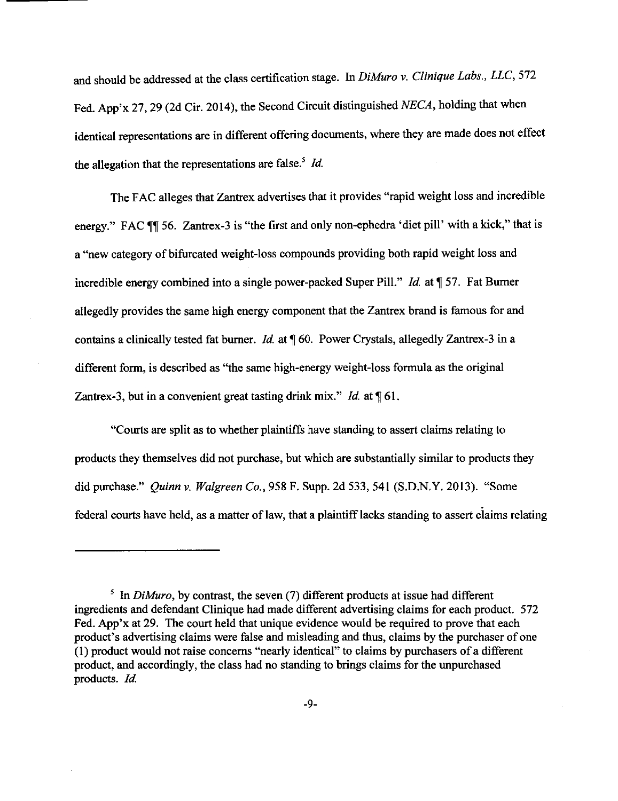and should be addressed at the class certification stage. In *DiMuro v. Clinique Labs., LLC,* 572 Fed. App'x 27,29 (2d Cir. 2014), the Second Circuit distinguished NECA, holding that when identical representations are in different offering documents, where they are made does not effect the allegation that the representations are false.<sup>5</sup> *Id.* 

The FAC alleges that Zantrex advertises that it provides "rapid weight loss and incredible energy." FAC  $\P$  56. Zantrex-3 is "the first and only non-ephedra 'diet pill' with a kick," that is a "new category of bifurcated weight-loss compounds providing both rapid weight loss and incredible energy combined into a single power-packed Super Pill." *Id.* at  $\parallel$  57. Fat Burner allegedly provides the same high energy component that the Zantrex brand is famous for and contains a clinically tested fat burner. *Id.* at  $\parallel$  60. Power Crystals, allegedly Zantrex-3 in a different form, is described as "the same high-energy weight-loss formula as the original Zantrex-3, but in a convenient great tasting drink mix." *Id.* at  $\P 61$ .

"Courts are split as to whether plaintiffs have standing to assert claims relating to products they themselves did not purchase, but which are substantially similar to products they did purchase." *Quinn v. Walgreen Co.,* 958 F. Supp. 2d 533, 541 (S.D.N.Y. 2013). "Some federal courts have held, as a matter of law, that a plaintiff lacks standing to assert ciaims relating

<sup>&</sup>lt;sup>5</sup> In *DiMuro*, by contrast, the seven (7) different products at issue had different ingredients and defendant Clinique had made different advertising claims for each product. 572 Fed. App'x at 29. The court held that unique evidence would be required to prove that each product's advertising claims were false and misleading and thus, claims by the purchaser of one (I) product would not raise concerns "nearly identical" to claims by purchasers of a different product, and accordingly, the class had no standing to brings claims for the unpurchased products. Jd.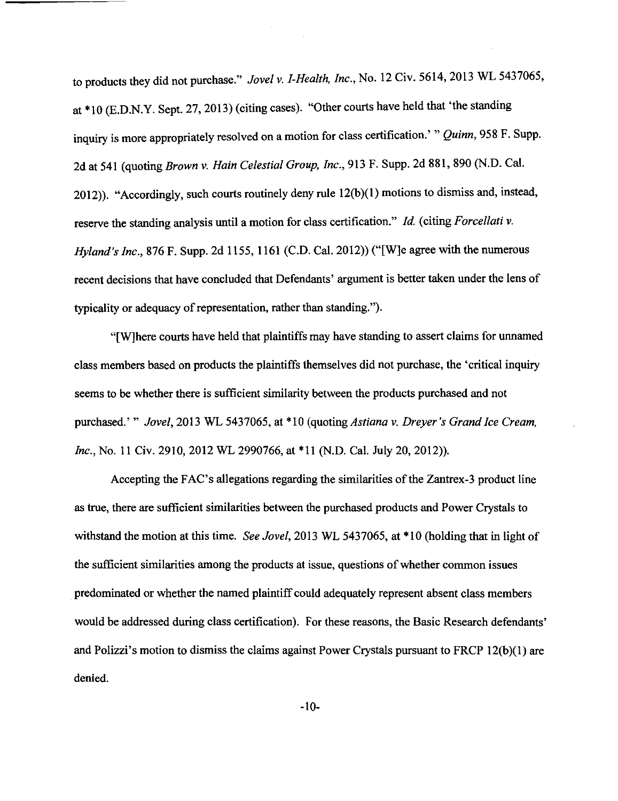to products they did not purchase." *Jove/ v. !-Health, Inc.,* No. 12 Civ. 5614,2013 WL 5437065, at \*10 (E.D.N.Y. Sept. 27, 2013) (citing cases). "Other courts have held that 'the standing inquiry is more appropriately resolved on a motion for class certification.' *"Quinn,* 958 F. Supp. 2d at 541 (quoting *Brown v. Hain Celestial Group, Inc.,* 913 F. Supp. 2d 881, 890 (N.D. Cal. 2012)). "Accordingly, such courts routinely deny rule 12(b)(l) motions to dismiss and, instead, reserve the standing analysis until a motion for class certification." *Id.* (citing *Forcellati v. Hyland's Inc.,* 876 F. Supp. 2d 1155, 1161 (C.D. Cal. 2012)) ("[W]e agree with the numerous recent decisions that have concluded that Defendants' argument is better taken under the lens of typicality or adequacy of representation, rather than standing.").

"[W]here courts have held that plaintiffs may have standing to assert claims for unnamed class members based on products the plaintiffs themselves did not purchase, the 'critical inquiry seems to be whether there is sufficient similarity between the products purchased and not purchased.' " *Jovel*, 2013 WL 5437065, at \*10 (quoting *Astiana v. Dreyer's Grand Ice Cream*, *Inc.,* No. 11 Civ. 2910, 2012 WL 2990766, at \*11 (N.D. Cal. July 20, 2012)).

Accepting the FAC's allegations regarding the similarities of the Zantrex-3 product line as true, there are sufficient similarities between the purchased products and Power Crystals to withstand the motion at this time. *See Jovel*, 2013 WL 5437065, at \*10 (holding that in light of the sufficient similarities among the products at issue, questions of whether common issues predominated or whether the named plaintiff could adequately represent absent class members would be addressed during class certification). For these reasons, the Basic Research defendants' and Polizzi's motion to dismiss the claims against Power Crystals pursuant to FRCP 12(b)(l) are denied.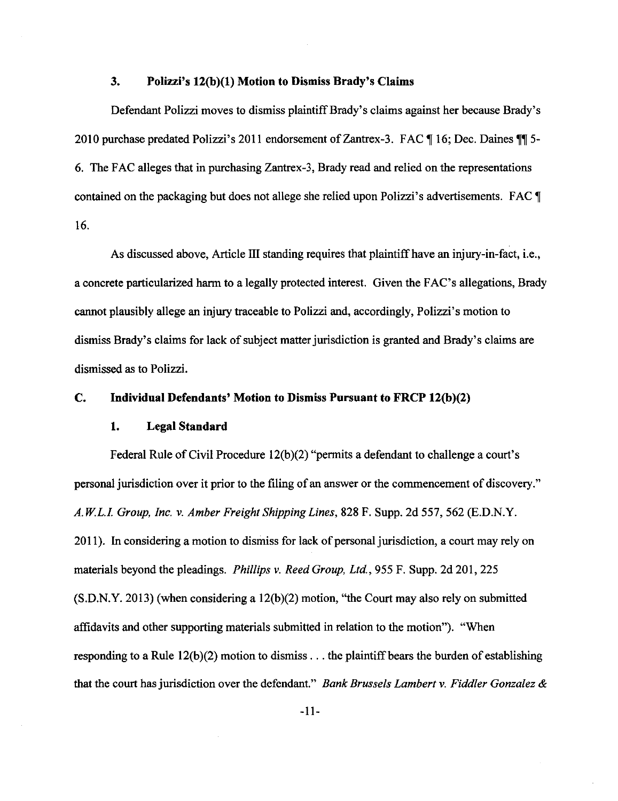### 3. Polizzi's 12(b)(l) Motion to Dismiss Brady's Claims

Defendant Polizzi moves to dismiss plaintiff Brady's claims against her because Brady's 2010 purchase predated Polizzi's 2011 endorsement of Zantrex-3. FAC ¶ 16; Dec. Daines ¶ 5-6. The FAC alleges that in purchasing Zantrex-3, Brady read and relied on the representations contained on the packaging but does not allege she relied upon Polizzi's advertisements. FAC ¶ 16.

As discussed above, Article III standing requires that plaintiff have an injury-in-fact, i.e., a concrete particularized harm to a legally protected interest. Given the FAC's allegations, Brady cannot plausibly allege an injury traceable to Polizzi and, accordingly, Polizzi's motion to dismiss Brady's claims for lack of subject matter jurisdiction is granted and Brady's claims are dismissed as to Polizzi.

# C. Individual Defendants' Motion to Dismiss Pursuant to FRCP 12(b)(2)

#### 1. Legal Standard

Federal Rule of Civil Procedure 12(b)(2) "permits a defendant to challenge a court's personal jurisdiction over it prior to the filing of an answer or the commencement of discovery." *A. W.L.l Group, Inc. v. Amber Freight Shipping Lines,* 828 F. Supp. 2d 557, 562 (E.D.N.Y. 2011). In considering a motion to dismiss for lack of personal jurisdiction, a court may rely on materials beyond the pleadings. *Phillips v. Reed Group, Ltd.,* 955 F. Supp. 2d 201, 225 (S.D.N.Y. 2013) (when considering a 12(b)(2) motion, "the Court may also rely on submitted affidavits and other supporting materials submitted in relation to the motion"). "When responding to a Rule  $12(b)(2)$  motion to dismiss ... the plaintiff bears the burden of establishing that the court has jurisdiction over the defendant." *Bank Brussels Lambert v. Fiddler Gonzalez* &

-11-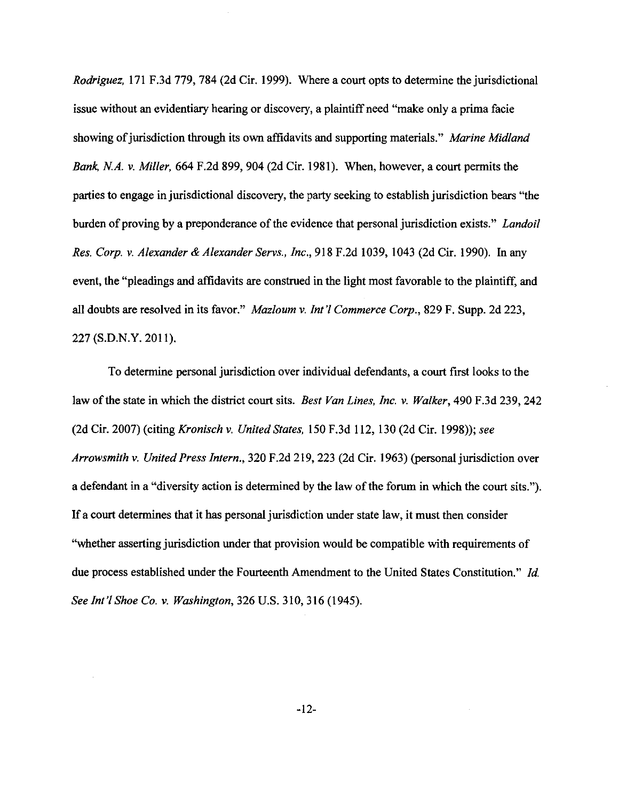*Rodriguez,* 171 F.3d 779, 784 (2d Cir. 1999). Where a court opts to determine the jurisdictional issue without an evidentiary hearing or discovery, a plaintiff need "make only a prima facie showing of jurisdiction through its own affidavits and supporting materials." *Marine Midland Bank. N.A. v. Miller,* 664 F.2d 899,904 (2d Cir. 1981). When, however, a court permits the parties to engage in jurisdictional discovery, the party seeking to establish jurisdiction bears "the burden of proving by a preponderance of the evidence that personal jurisdiction exists." *Landoil Res. Corp. v. Alexander* & *Alexander Servs., Inc.,* 918 F.2d 1039, 1043 (2d Cir. 1990). In any event, the "pleadings and affidavits are construed in the light most favorable to the plaintiff, and all doubts are resolved in its favor." *Mazloum v. Int'l Commerce Corp.,* 829 F. Supp. 2d 223, 227 (S.D.N.Y. 2011).

To determine personal jurisdiction over individual defendants, a court first looks to the law of the state in which the district court sits. *Best Van Lines, Inc. v. Walker,* 490 F.3d 239, 242 (2d Cir. 2007) (citing *Kronisch v. United States,* !50 F.3d 112, 130 (2d Cir. 1998)); *see Arrowsmith v. United Press Intern.,* 320 F.2d 219,223 (2d Cir. 1963) (personal jurisdiction over a defendant in a "diversity action is determined by the law of the forum in which the court sits."). If a court determines that it has personal jurisdiction under state law, it must then consider "whether asserting jurisdiction under that provision would be compatible with requirements of due process established under the Fourteenth Amendment to the United States Constitution." *!d. See Jnt* 'I *Shoe Co. v. Washington,* 326 U.S. 310, 316 (1945).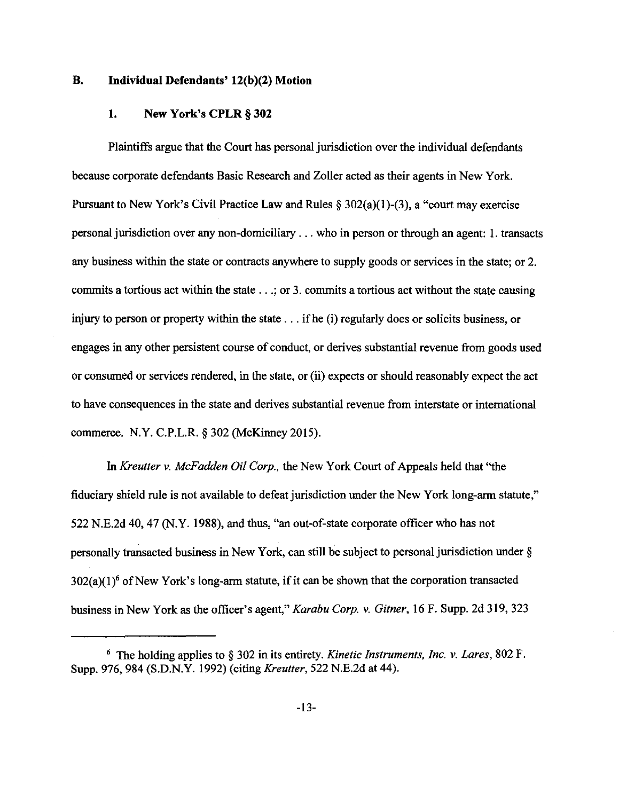### **B. Individual Defendants' 12(b)(2) Motion**

#### **1. New York's CPLR § 302**

Plaintiffs argue that the Court has personal jurisdiction over the individual defendants because corporate defendants Basic Research and Zoller acted as tbeir agents in New York. Pursuant to New York's Civil Practice Law and Rules§ 302(a)(l)-(3), a "court may exercise personal jurisdiction over any non-domiciliary ... who in person or through an agent: I. transacts any business within the state or contracts anywhere to supply goods or services in the state; or 2. commits a tortious act within the state  $\ldots$ ; or 3. commits a tortious act without the state causing injury to person or property within the state  $\ldots$  if he (i) regularly does or solicits business, or engages in any other persistent course of conduct, or derives substantial revenue from goods used or consumed or services rendered, in tbe state, or (ii) expects or should reasonably expect the act to have consequences in tbe state and derives substantial revenue from interstate or international commerce. N.Y. C.P.L.R. § 302 (McKinney 2015).

In *Kreutter v. McFadden Oil Corp.*, the New York Court of Appeals held that "the fiduciary shield rule is not available to defeat jurisdiction under the New York long-arm statute," 522 N.E.2d 40,47 (N.Y. 1988), and tbus, "an out-of-state corporate officer who has not personally transacted business in New York, can still be subject to personal jurisdiction under §  $302(a)(1)^6$  of New York's long-arm statute, if it can be shown that the corporation transacted business in New York as tbe officer's agent," *Karabu Corp. v. Gitner,* 16 F. Supp. 2d 319, 323

<sup>6</sup>The holding applies to§ 302 in its entirety. *Kinetic Instruments, Inc. v. Lares,* 802 F. Supp. 976,984 (S.D.N.Y. 1992) (citing *Kreutter,* 522 N.E.2d at 44).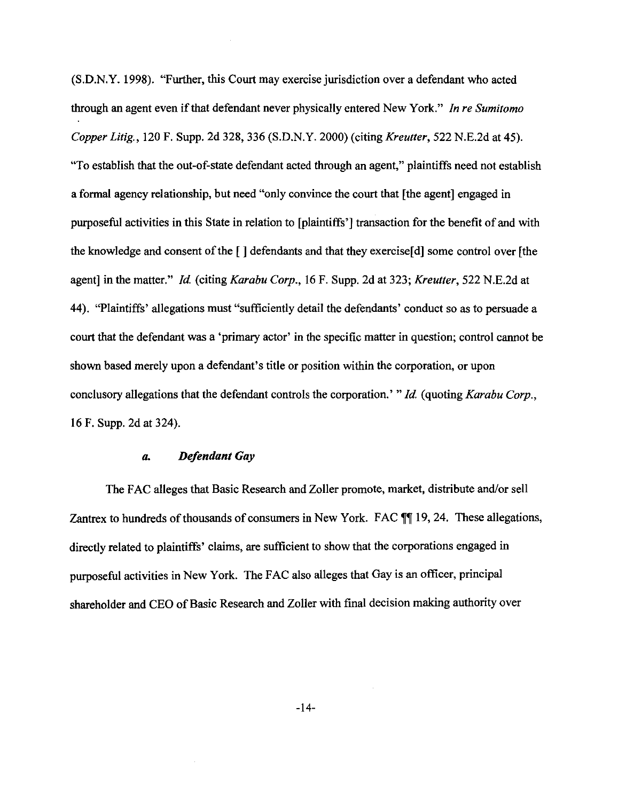(S.D.N.Y. 1998). "Further, this Court may exercise jurisdiction over a defendant who acted through an agent even if that defendant never physically entered New York." *In re Sumitomo Copper* Litig., 120 F. Supp. 2d 328,336 (S.D.N.Y. 2000) (citing *Kreutter,* 522 N.E.2d at 45). "To establish that the out-of-state defendant acted through an agent," plaintiffs need not establish a formal agency relationship, but need "only convince the court that [the agent] engaged in purposeful activities in this State in relation to [plaintiffs'] transaction for the benefit of and with the knowledge and consent of the  $\lceil \cdot \rceil$  defendants and that they exercise [d] some control over [the agent] in the matter." *!d* (citing *Karabu Corp.,* 16 F. Supp. 2d at 323; *Kreutter,* 522 N.E.2d at 44). "Plaintiffs' allegations must "sufficiently detail the defendants' conduct so as to persuade a court that the defendant was a 'primary actor' in the specific matter in question; control cannot be shown based merely upon a defendant's title or position within the corporation, or upon conclusory allegations that the defendant controls the corporation.' "Id. (quoting *Karabu Corp.*, 16 F. Supp. 2d at 324).

## *a. Defendant Gay*

The FAC alleges that Basic Research and Zoller promote, market, distribute and/or sell Zantrex to hundreds of thousands of consumers in New York. FAC  $\P$  19, 24. These allegations, directly related to plaintiffs' claims, are sufficient to show that the corporations engaged in purposeful activities in New York. The FAC also alleges that Gay is an officer, principal shareholder and CEO of Basic Research and Zoller with final decision making authority over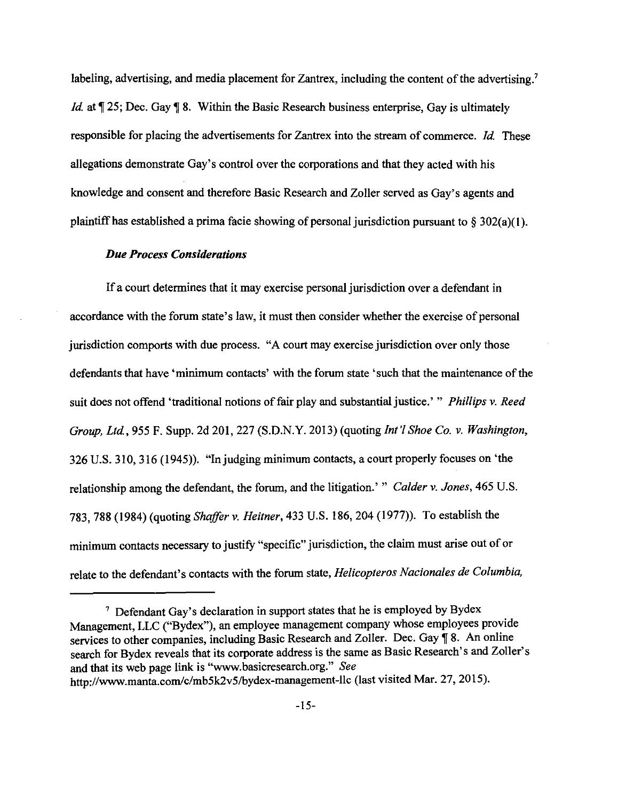labeling, advertising, and media placement for Zantrex, including the content of the advertising.<sup>7</sup> *Id.* at  $\P$  25; Dec. Gay  $\P$  8. Within the Basic Research business enterprise. Gay is ultimately responsible for placing the advertisements for Zantrex into the stream of commerce. *!d.* These allegations demonstrate Gay's control over the corporations and that they acted with his knowledge and consent and therefore Basic Research and Zoller served as Gay's agents and plaintiff has established a prima facie showing of personal jurisdiction pursuant to  $\S 302(a)(1)$ .

#### *Due Process Considerations*

If a court determines that it may exercise personal jurisdiction over a defendant in accordance with the forum state's law, it must then consider whether the exercise of personal jurisdiction comports with due process. "A court may exercise jurisdiction over only those defendants that have 'minimum contacts' with the forum state 'such that the maintenance of the suit does not offend 'traditional notions of fair play and substantial justice.' " *Phillips v. Reed Group, Ltd.,* 955 F. Supp. 2d 201, 227 (S.D.N.Y. 2013) (quoting *lnt'l Shoe Co. v. Washington,*  326 U.S. 310, 316 (1945)). "In judging minimum contacts, a court properly focuses on 'the relationship among the defendant, the forum, and the litigation.' " *Calder v. Jones,* 465 U.S. 783, 788 (1984) (quoting *Shaffer v. Heitner,* 433 U.S. 186, 204 (1977)). To establish the minimum contacts necessary to justify "specific" jurisdiction, the claim must arise out of or relate to the defendant's contacts with the forum state, *Helicopteros Nacionales de Columbia,* 

<sup>&</sup>lt;sup>7</sup> Defendant Gay's declaration in support states that he is employed by Bydex Management, LLC ("Bydex"), an employee management company whose employees provide services to other companies, including Basic Research and Zoller. Dec. Gay [8. An online search for Bydex reveals that its corporate address is the same as Basic Research's and Zoller's and that its web page link is "www. basicresearch.org." *See*  http://www.manta.com/c/mb5k2v5/bydex-management-llc (last visited Mar. 27, 2015).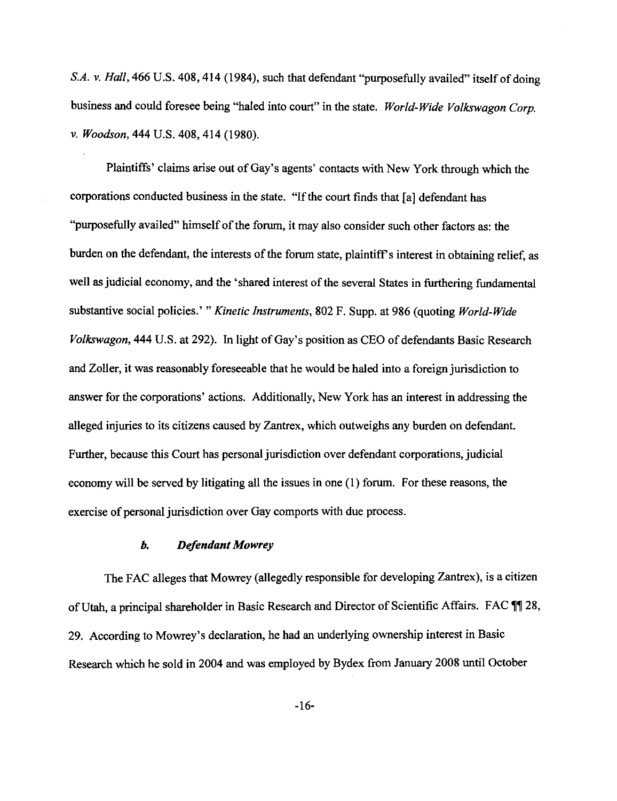*S.A. v. Hall,* 466 U.S. 408, 414 (1984), such that defendant "purposefully availed" itself of doing business and could foresee being "haled into court" in the state. *World-Wide Volkswagon Corp. v. Woodson,* 444 U.S. 408,414 (1980).

Plaintiffs' claims arise out of Gay's agents' contacts with New York through which the corporations conducted business in the state. "If the court finds that [a] defendant has "purposefully availed" himself of the forum, it may also consider such other factors as: the burden on the defendant, the interests of the forum state, plaintiff's interest in obtaining relief, as well as judicial economy, and the 'shared interest of the several States in furthering fundamental substantive social policies.'" *Kinetic Instruments,* 802 F. Supp. at 986 (quoting *World-Wide Volkswagon,* 444 U.S. at 292). In light of Gay's position as CEO of defendants Basic Research and Zoller, it was reasonably foreseeable that he would be haled into a foreign jurisdiction to answer for the corporations' actions. Additionally, New York has an interest in addressing the alleged injuries to its citizens caused by Zantrex, which outweighs any burden on defendant. Further, because this Court has personal jurisdiction over defendant corporations, judicial economy will be served by litigating all the issues in one (1) forum. For these reasons, the exercise of personal jurisdiction over Gay comports with due process.

#### *b. Defendant Mowrey*

The FAC alleges that Mowrey (allegedly responsible for developing Zantrex), is a citizen of Utah, a principal shareholder in Basic Research and Director of Scientific Affairs. FAC  $\P$  28, 29. According to Mowrey's declaration, he had an underlying ownership interest in Basic Research which he sold in 2004 and was employed by Bydex from January 2008 until October

-16-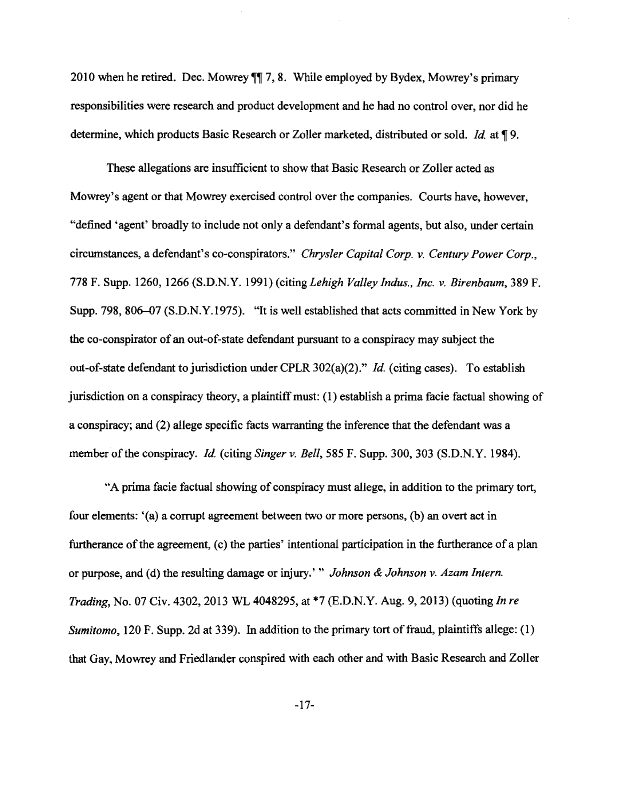2010 when he retired. Dec. Mowrey  $\P\P$  7, 8. While employed by Bydex, Mowrey's primary responsibilities were research and product development and he had no control over, nor did he determine, which products Basic Research or Zoller marketed, distributed or sold. *Id.* at  $\P$ 9.

These allegations are insufficient to show that Basic Research or Zoller acted as Mowrey's agent or that Mowrey exercised control over the companies. Courts have, however, "defined 'agent' broadly to include not only a defendant's formal agents, but also, under certain circumstances, a defendant's co-conspirators." *Chrysler Capital Corp. v. Century Power Corp.,*  778 F. Supp. 1260, 1266 (S.D.N.Y. 1991) (citing *Lehigh Valley Indus., Inc. v. Birenbaum,* 389 F. Supp. 798, 806–07 (S.D.N.Y.1975). "It is well established that acts committed in New York by the co-conspirator of an out-of-state defendant pursuant to a conspiracy may subject the out-of-state defendant to jurisdiction under CPLR 302(a)(2)." *!d.* (citing cases). To establish jurisdiction on a conspiracy theory, a plaintiff must: (1) establish a prima facie factual showing of a conspiracy; and (2) allege specific facts warranting the inference that the defendant was a member of the conspiracy. *!d.* (citing *Singer v. Bell,* 585 F. Supp. 300, 303 (S.D.N.Y. 1984).

"A prima facie factual showing of conspiracy must allege, in addition to the primary tort, four elements: '(a) a corrupt agreement between two or more persons, (b) an overt act in furtherance of the agreement, (c) the parties' intentional participation in the furtherance of a plan or purpose, and (d) the resulting damage or injury.' " *Johnson & Johnson v. Azam Intern. Trading,* No. 07 Civ. 4302, 2013 WL 4048295, at \*7 (E.D.N.Y. Aug. 9, 2013) (quoting *In re Sumitomo,* 120 F. Supp. 2d at 339). In addition to the primary tort of fraud, plaintiffs allege: (1) that Gay, Mowrey and Friedlander conspired with each other and with Basic Research and Zoller

-17-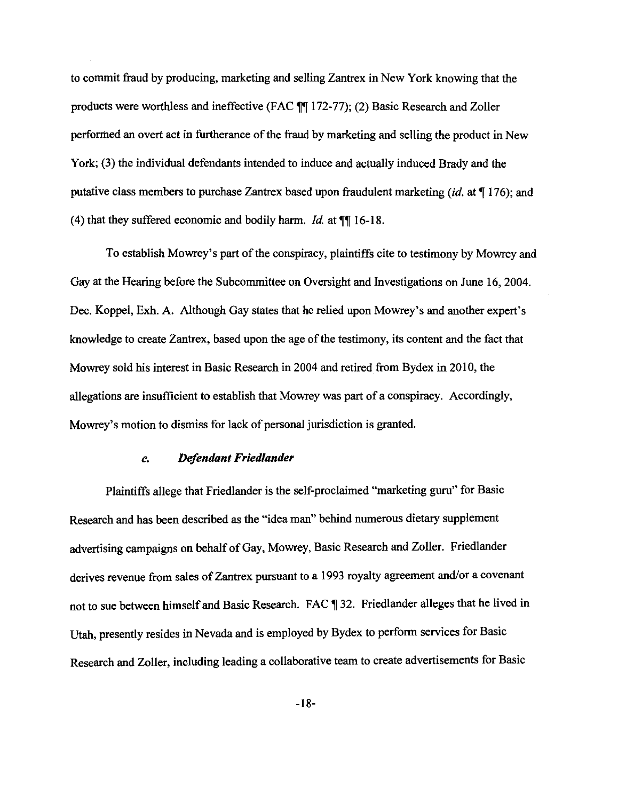to commit fraud by producing, marketing and selling Zantrex in New York knowing that the products were worthless and ineffective (FAC  $\P$  172-77); (2) Basic Research and Zoller performed an overt act in furtherance of the fraud by marketing and selling the product in New York; (3) the individual defendants intended to induce and actually induced Brady and the putative class members to purchase Zantrex based upon fraudulent marketing (*id.* at  $\P$  176); and (4) that they suffered economic and bodily harm. *Id.* at  $\P$  16-18.

To establish Mowrey's part of the conspiracy, plaintiffs cite to testimony by Mowrey and Gay at the Hearing before the Subcommittee on Oversight and Investigations on June 16, 2004. Dec. Koppel, Exh. A. Although Gay states that he relied upon Mowrey's and another expert's knowledge to create Zantrex, based upon the age of the testimony, its content and the fact that Mowrey sold his interest in Basic Research in 2004 and retired from Bydex in 2010, the allegations are insufficient to establish that Mowrey was part of a conspiracy. Accordingly, Mowrey's motion to dismiss for lack of personal jurisdiction is granted.

#### *c. Defendant Friedlander*

Plaintiffs allege that Friedlander is the self-proclaimed "marketing guru" for Basic Research and has been described as the "idea man" behind numerous dietary supplement advertising campaigns on behalf of Gay, Mowrey, Basic Research and Zoller. Friedlander derives revenue from sales of Zantrex pursuant to a 1993 royalty agreement and/or a covenant not to sue between himself and Basic Research. FAC ¶ 32. Friedlander alleges that he lived in Utah, presently resides in Nevada and is employed by Bydex to perform services for Basic Research and Zoller, including leading a collaborative team to create advertisements for Basic

-18-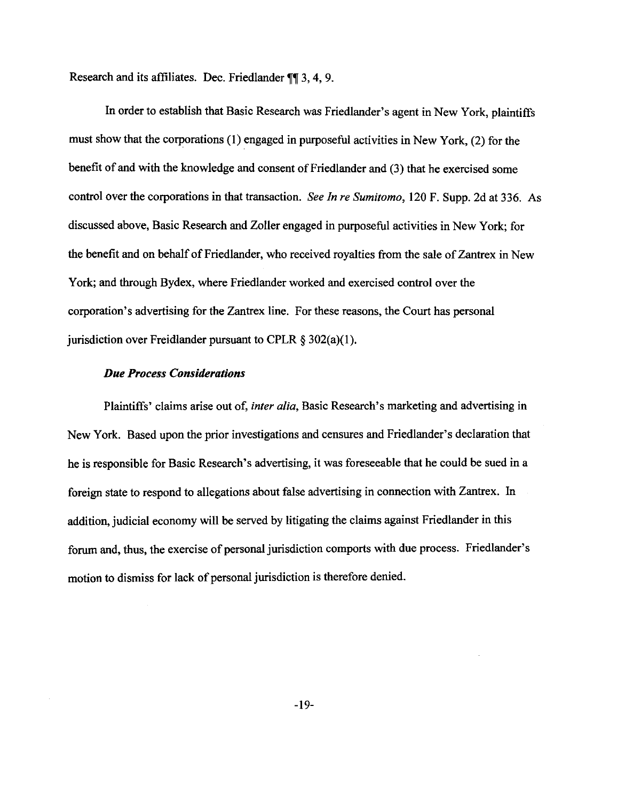Research and its affiliates. Dec. Friedlander  $\P\P$  3, 4, 9.

In order to establish that Basic Research was Friedlander's agent in New York, plaintiffs must show that the corporations (I) engaged in purposeful activities in New York, (2) for the benefit of and with the knowledge and consent of Friedlander and (3) that he exercised some control over the corporations in that transaction. *See In re Sumitomo,* 120 F. Supp. 2d at 336. As discussed above, Basic Research and Zoller engaged in purposeful activities in New York; for the benefit and on behalf of Friedlander, who received royalties from the sale of Zantrex in New York; and through Bydex, where Friedlander worked and exercised control over the corporation's advertising for the Zantrex line. For these reasons, the Court has personal jurisdiction over Freidlander pursuant to CPLR  $\S 302(a)(1)$ .

### *Due Process Considerations*

Plaintiffs' claims arise out of, *inter alia,* Basic Research's marketing and advertising in New York. Based upon the prior investigations and censures and Friedlander's declaration that he is responsible for Basic Research's advertising, it was foreseeable that he could be sued in a foreign state to respond to allegations about false advertising in connection with Zantrex. In addition, judicial economy will be served by litigating the claims against Friedlander in this forum and, thus, the exercise of personal jurisdiction comports with due process. Friedlander's motion to dismiss for lack of personal jurisdiction is therefore denied.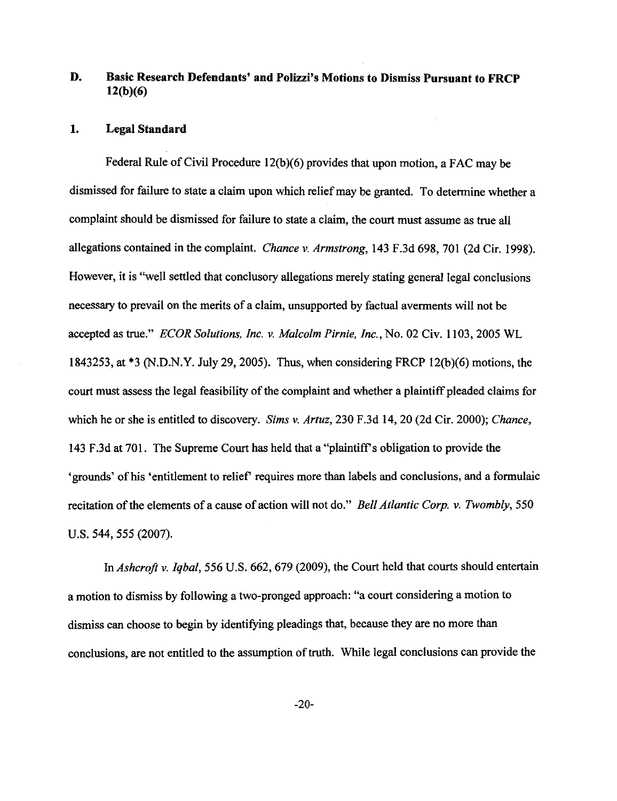# **D. Basic Research Defendants' and Polizzi's Motions to Dismiss Pursuant to FRCP 12(b)(6)**

### **1. Legal Standard**

Federal Rule of Civil Procedure 12(b)(6) provides that upon motion, a FAC may be dismissed for failure to state a claim upon which relief may be granted. To determine whether a complaint should be dismissed for failure to state a claim, the court must assume as true all allegations contained in the complaint. *Chance v. Armstrong,* 143 F.3d 698, 701 (2d Cir. 1998). However, it is "well settled that conclusory allegations merely stating general legal conclusions necessary to prevail on the merits of a claim, unsupported by factual averments will not be accepted as true." *ECOR Solutions, Inc. v. Malcolm Pirnie, Inc.,* No. 02 Civ. 1103,2005 WL 1843253, at \*3 (N.D.N.Y. July 29, 2005). Thus, when considering FRCP 12(b)(6) motions, the court must assess the legal feasibility of the complaint and whether a plaintiff pleaded claims for which he or she is entitled to discovery. *Sims v. Artuz,* 230 F.3d 14, 20 (2d Cir. 2000); *Chance,*  143 F.3d at 701. The Supreme Court has held that a "plaintiffs obligation to provide the 'grounds' of his 'entitlement to relief' requires more than labels and conclusions, and a formulaic recitation of the elements of a cause of action will not do." *Bell Atlantic Corp. v. Twombly,* 550 u.s. 544, 555 (2007).

In *Ashcroft v. Iqbal,* 556 U.S. 662, 679 (2009), the Court held that courts should entertain a motion to dismiss by following a two-pronged approach: "a court considering a motion to dismiss can choose to begin by identifying pleadings that, because they are no more than conclusions, are not entitled to the assumption of truth. While legal conclusions can provide the

-20-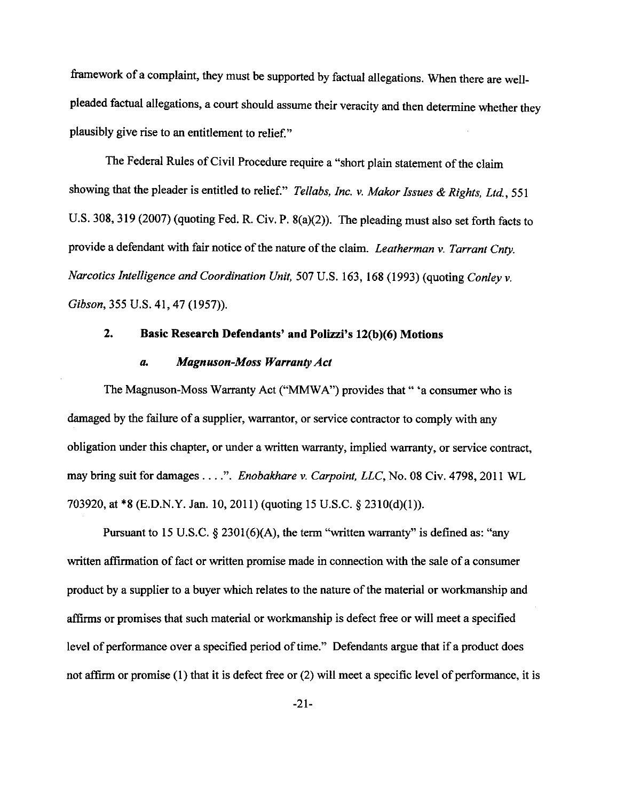framework of a complaint, they must be supported by factual allegations. When there are wellpleaded factual allegations, a court should assume their veracity and then determine whether they plausibly give rise to an entitlement to relief."

The Federal Rules of Civil Procedure require a "short plain statement of the claim showing that the pleader is entitled to relief." *Tellabs, Inc. v. Makor Issues* & *Rights, Ltd.,* 551 U.S. 308, 319 (2007) (quoting Fed. R. Civ. P. 8(a)(2)). The pleading must also set forth facts to provide a defendant with fair notice of the nature of the claim. *Leatherman v. Tarrant Cnty. Narcotics Intelligence and Coordination Unit,* 507 U.S. 163, 168 (1993) (quoting *Conley v. Gibson,* 355 U.S. 41,47 (1957)).

# **2. Basic Research Defendants' and Polizzi's 12(b)(6) Motions**

## *a. Magnuson-Moss Warranty Act*

The Magnuson-Moss Warranty Act ("MMWA") provides that " 'a consumer who is damaged by the failure of a supplier, warrantor, or service contractor to comply with any obligation under this chapter, or under a written warranty, implied warranty, or service contract, may bring suit for damages .... ". *Enobakhare v. Carpoint, LLC,* No. 08 Civ. 4798, 2011 WL 703920, at \*8 (E.D.N.Y. Jan. 10, 2011) (quoting 15 U.S.C. § 2310(d)(l)).

Pursuant to 15 U.S.C.  $\S$  2301(6)(A), the term "written warranty" is defined as: "any written affirmation of fact or written promise made in connection with the sale of a consumer product by a supplier to a buyer which relates to the nature of the material or workmanship and affirms or promises that such material or workmanship is defect free or will meet a specified level of performance over a specified period of time." Defendants argue that if a product does not affirm or promise (I) that it is defect free or (2) will meet a specific level of performance, it is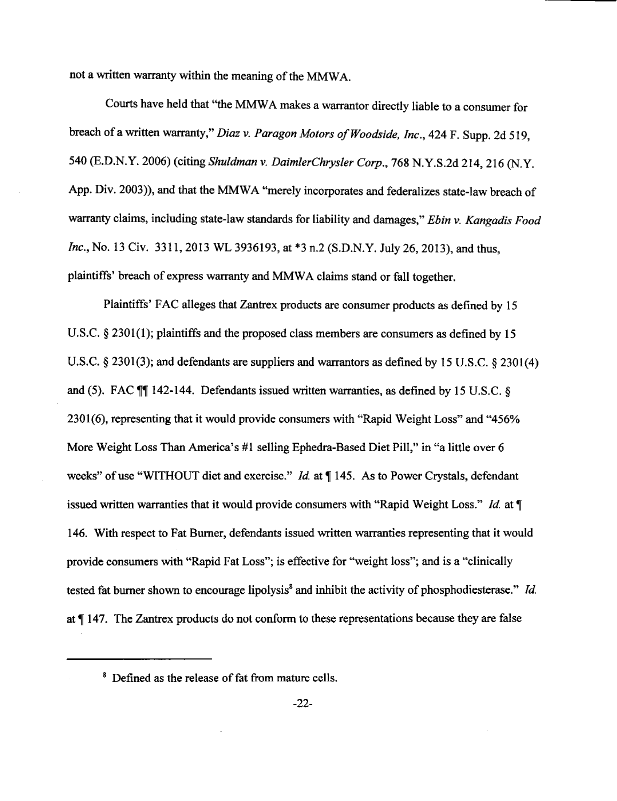not a written warranty within the meaning of the MMWA.

Courts have held that "the MMW A makes a warrantor directly liable to a conswner for breach of a written warranty," *Diaz v. Paragon Motors of Woodside, Inc.,* 424 F. Supp. 2d 519, 540 (E.D.N.Y. 2006) (citing *Shuldman v. DaimlerChrysler Corp.,* 768 N.Y.S.2d 214,216 (N.Y. App. Div. 2003)), and that the MMWA "merely incorporates and federalizes state-law breach of warranty claims, including state-law standards for liability and damages," *Ebin v. Kangadis Food*  Inc., No. 13 Civ. 3311, 2013 WL 3936193, at \*3 n.2 (S.D.N.Y. July 26, 2013), and thus, plaintiffs' breach of express warranty and MMW A claims stand or fall together.

Plaintiffs' FAC alleges that Zantrex products are conswner products as defined by 15 U.S.C. § 2301(1); plaintiffs and the proposed class members are conswners as defined by 15 U.S.C. § 2301(3); and defendants are suppliers and warrantors as defined by 15 U.S.C. § 2301(4) and (5). FAC  $\mathbb{M}$  142-144. Defendants issued written warranties, as defined by 15 U.S.C. § 2301(6), representing that it would provide conswners with "Rapid Weight Loss" and "456% More Weight Loss Than America's #1 selling Ephedra-Based Diet Pill," in "a little over 6 weeks" of use "WITHOUT diet and exercise." *Id.* at ¶ 145. As to Power Crystals, defendant issued written warranties that it would provide conswners with "Rapid Weight Loss." */d.*  146. With respect to Fat Burner, defendants issued written warranties representing that it would provide conswners with "Rapid Fat Loss"; is effective for "weight loss"; and is a "clinically tested fat burner shown to encourage lipolysis<sup>8</sup> and inhibit the activity of phosphodiesterase." *Id.* 147. The Zantrex products do not conform to these representations because they are false

<sup>&</sup>lt;sup>8</sup> Defined as the release of fat from mature cells.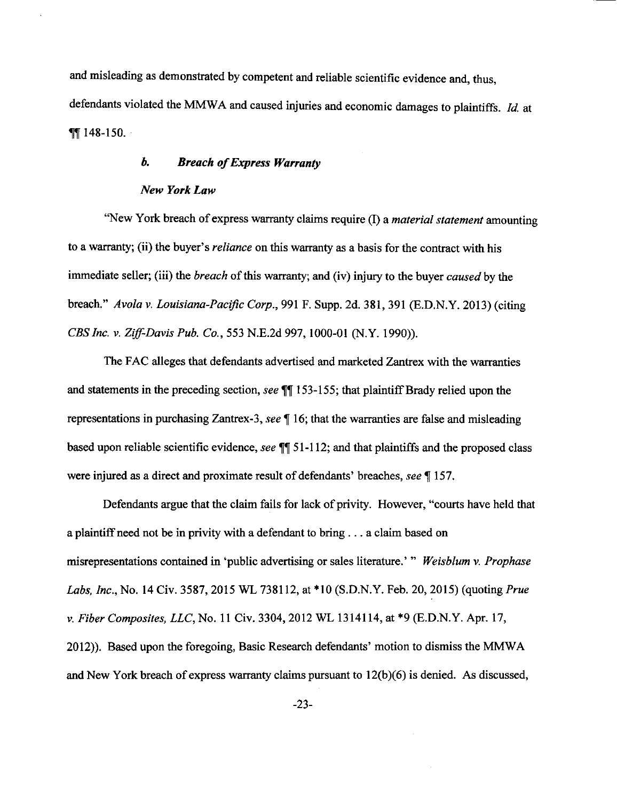and misleading as demonstrated by competent and reliable scientific evidence and, thus,  $,$   $\frac{1}{2}$ defendants violated the MMW A and caused injuries and economic damages to plaintiffs. *!d.* at  $\P$  148-150.

# *b. Breach of Express Warranty*

#### *New York Law*

"New York breach of express warranty claims require (I) a *material statement* amounting to a warranty; (ii) the buyer's *reliance* on this warranty as a basis for the contract with his immediate seller; (iii) the *breach* of this warranty; and (iv) injury to the buyer *caused* by the breach." *Avo/a v. Louisiana-Pacific Corp.,* 991 F. Supp. 2d. 381, 391 (E.D.N.Y. 2013) (citing *CBS Inc. v. Ziff-Davis Pub. Co.,* 553 N.E.2d 997, 1000-01 (N.Y. 1990)).

The FAC alleges that defendants advertised and marketed Zantrex with the warranties and statements in the preceding section,  $\text{see } \P \P 153-155$ ; that plaintiff Brady relied upon the representations in purchasing Zantrex-3, see  $\P$  16; that the warranties are false and misleading based upon reliable scientific evidence, *see*  $\P$  51-112; and that plaintiffs and the proposed class were injured as a direct and proximate result of defendants' breaches, see \[\epsilon 157.]

Defendants argue that the claim fails for lack of privity. However, "courts have held that a plaintiff need not be in privity with a defendant to bring ... a claim based on misrepresentations contained in 'public advertising or sales literature.' " *Weisblum v. Prophase Labs, Inc.,* No. 14 Civ. 3587,2015 WL 738112, at \*10 (S.D.N.Y. Feb. 20, 2015) (quoting *Prue v. Fiber Composites, LLC,* No. II Civ. 3304, 2012 WL 1314114, at \*9 (E.D.N.Y. Apr. 17, 2012)). Based upon the foregoing, Basic Research defendants' motion to dismiss the MMWA and New York breach of express warranty claims pursuant to  $12(b)(6)$  is denied. As discussed,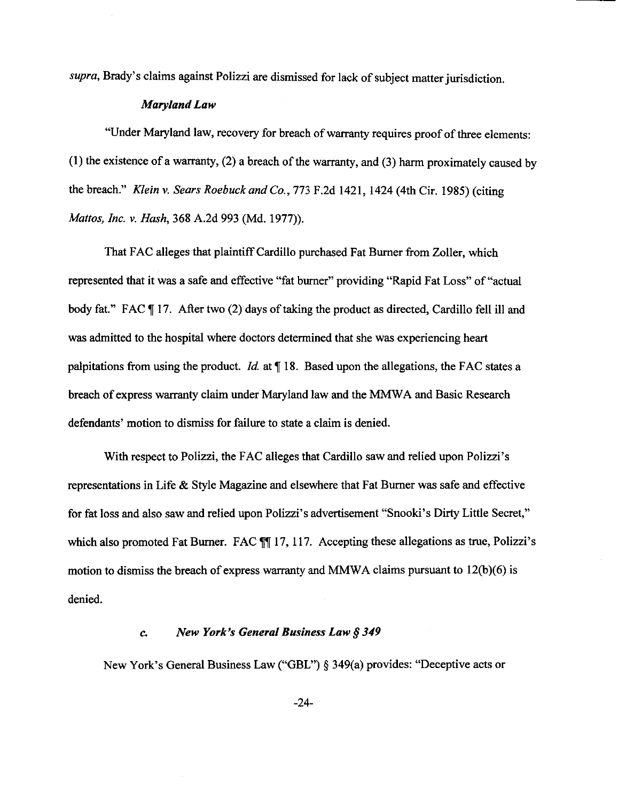*supra,* Brady's claims against Polizzi are dismissed for lack of subject matter jurisdiction.

#### *Maryland Law*

"Under Maryland law, recovery for breach of warranty requires proof of three elements: (I) the existence of a warranty, (2) a breach of the warranty, and (3) harm proximately caused by the breach." *Klein v. Sears Roebuck and Co.,* 773 F.2d 1421, 1424 (4th Cir. 1985) (citing *Mattos, Inc. v. Hash,* 368 A.2d 993 (Md. 1977)).

That FAC alleges that plaintiff Cardillo purchased Fat Burner from Zoller, which represented that it was a safe and effective "fat burner" providing "Rapid Fat Loss" of "actual body fat." FAC ¶ 17. After two (2) days of taking the product as directed, Cardillo fell ill and was admitted to the hospital where doctors determined that she was experiencing heart palpitations from using the product. *Id.* at  $\P$  18. Based upon the allegations, the FAC states a breach of express warranty claim under Maryland law and the MMW A and Basic Research defendants' motion to dismiss for failure to state a claim is denied.

With respect to Polizzi, the FAC alleges that Cardillo saw and relied upon Polizzi's representations in Life & Style Magazine and elsewhere that Fat Burner was safe and effective for fat loss and also saw and relied upon Polizzi's advertisement "Snooki's Dirty Little Secret," which also promoted Fat Burner. FAC  $\P$  17, 117. Accepting these allegations as true, Polizzi's motion to dismiss the breach of express warranty and MMWA claims pursuant to  $12(b)(6)$  is denied.

# *c. New York's General Business Law§ 349*

New York's General Business Law ("GBL") § 349(a) provides: "Deceptive acts or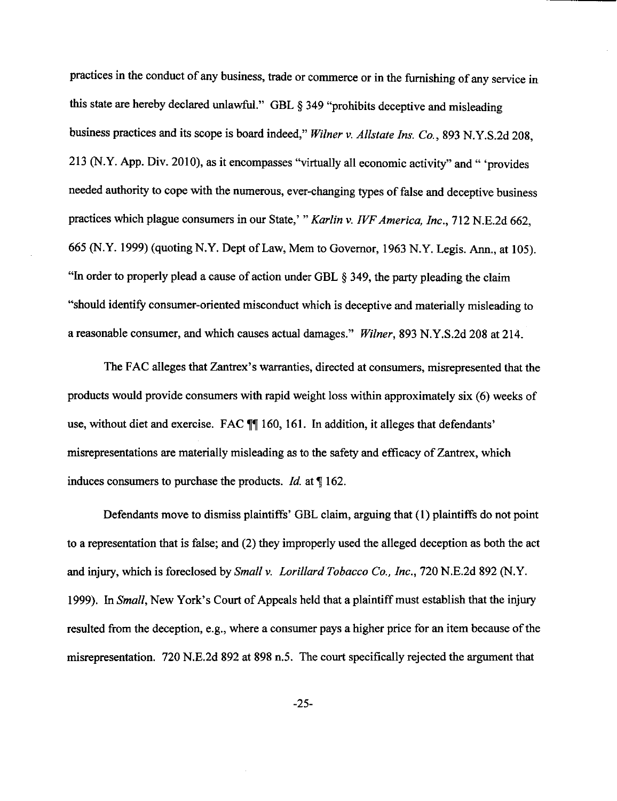practices in the conduct of any business, trade or commerce or in the furnishing of any service in this state are hereby declared unlawful." GBL § 349 "prohibits deceptive and misleading business practices and its scope is board indeed," *Wilner v. Allstate Ins. Co.,* 893 N.Y.S.2d 208, 213 (N.Y. App. Div. 2010), as it encompasses "virtually all economic activity" and" 'provides needed authority to cope with the numerous, ever-changing types of false and deceptive business practices which plague consumers in our State,' *"Karlin v. IVF America, Inc.,* 712 N.E.2d 662, 665 (N.Y. 1999) (quoting N.Y. Dept of Law, Mem to Governor, 1963 N.Y. Legis. Ann., at 105). "In order to properly plead a cause of action under GBL § 349, the party pleading the claim "should identify consumer-oriented misconduct which is deceptive and materially misleading to a reasonable consumer, and which causes actual damages." *Wilner,* 893 N.Y.S.2d 208 at 214.

The FAC alleges that Zantrex's warranties, directed at consumers, misrepresented that the products would provide consumers with rapid weight loss within approximately six (6) weeks of use, without diet and exercise. FAC  $\P$ [| 160, 161. In addition, it alleges that defendants' misrepresentations are materially misleading as to the safety and efficacy of Zantrex, which induces consumers to purchase the products. *Id.* at  $\P$  162.

Defendants move to dismiss plaintiffs' GBL claim, arguing that (I) plaintiffs do not point to a representation that is false; and (2) they improperly used the alleged deception as both the act and injury, which is foreclosed by *Small v. Lorillard Tobacco Co., Inc.,* 720 N.E.2d 892 (N.Y. 1999). In *Small,* New York's Court of Appeals held that a plaintiff must establish that the injury resulted from the deception, e.g., where a consumer pays a higher price for an item because of the misrepresentation. 720 N.E.2d 892 at 898 n.5. The court specifically rejected the argument that

-25-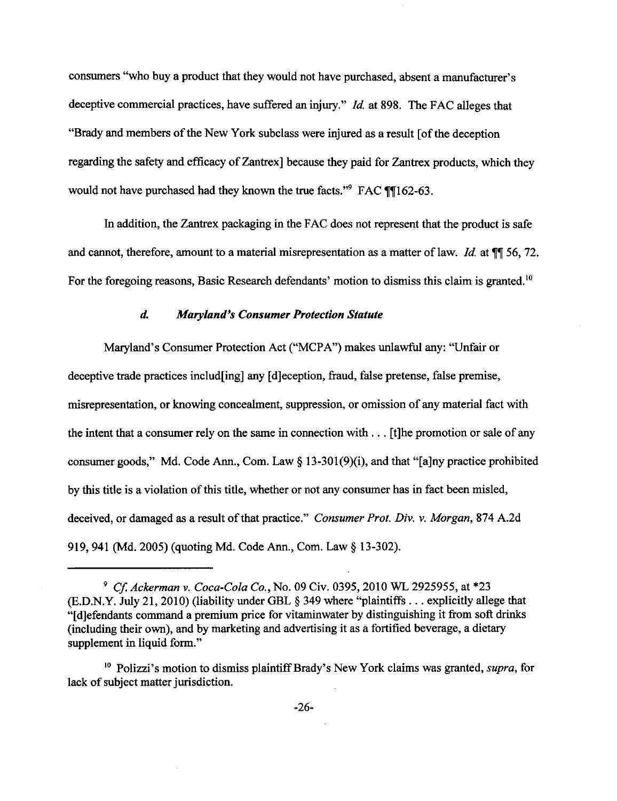consumers "who buy a product that they would not have purchased, absent a manufacturer's deceptive commercial practices, have suffered an injury." *Id.* at 898. The FAC alleges that "Brady and members of the New York subclass were injured as a result [of the deception regarding the safety and efficacy of Zantrex] because they paid for Zantrex products, which they would not have purchased had they known the true facts."<sup>9</sup> FAC  $\P$  $I$ <sub>162</sub>-63.

In addition, the Zantrex packaging in the FAC does not represent that the product is safe and cannot, therefore, amount to a material misrepresentation as a matter of law. *Id.* at **\ff** 56, 72. For the foregoing reasons, Basic Research defendants' motion to dismiss this claim is granted.<sup>10</sup>

#### *d. Maryland's Consumer Protection Statute*

Maryland's Consumer Protection Act ("MCPA") makes unlawful any: "Unfair or deceptive trade practices includ[ing] any [d]eception, fraud, false pretense, false premise, misrepresentation, or knowing concealment, suppression, or omission of any material fact with the intent that a consumer rely on the same in connection with ... [t]he promotion or sale of any consumer goods," Md. Code Ann., Com. Law§ 13-301(9)(i), and that "[a]ny practice prohibited by this title is a violation of this title, whether or not any consumer has in fact been misled, deceived, or damaged as a result of that practice." *Consumer Prot. Div. v. Morgan,* 874 A.2d 919,941 (Md. 2005) (quoting Md. Code Ann., Com. Law§ 13-302).

<sup>9</sup>*Cf. Ackerman v. Coca-Cola Co.,* No. 09 Civ. 0395,2010 WL 2925955, at \*23 (E.D.N.Y. July 21, 2010) (liability under GBL § 349 where "plaintiffs ... explicitly allege that "[ d]efendants command a premium price for vitamin water by distinguishing it from soft drinks (including their own), and by marketing and advertising it as a fortified beverage, a dietary supplement in liquid form."

<sup>&</sup>lt;sup>10</sup> Polizzi's motion to dismiss plaintiff Brady's New York claims was granted, *supra*, for lack of subject matter jurisdiction.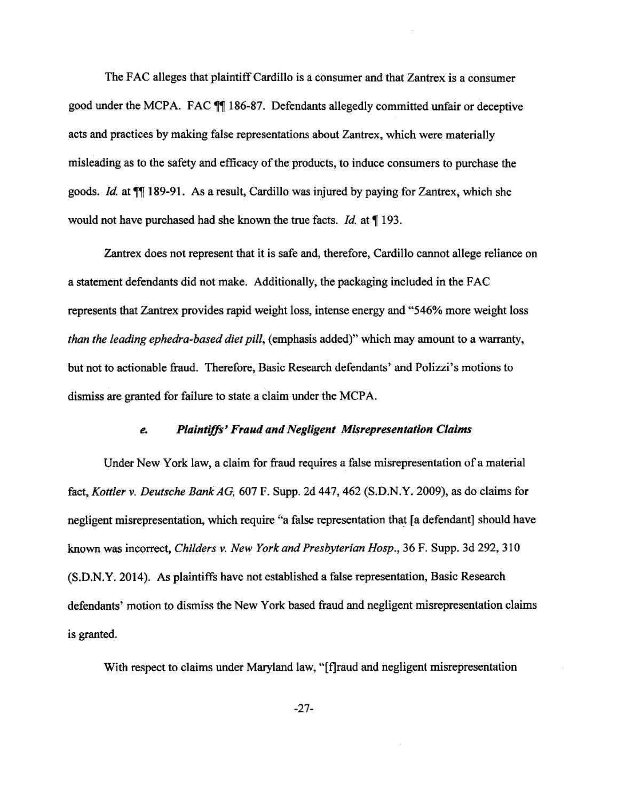The FAC alleges that plaintiff Cardillo is a consumer and that Zantrex is a consumer good under the MCPA. FAC  $\P$  186-87. Defendants allegedly committed unfair or deceptive acts and practices by making false representations about Zantrex, which were materially misleading as to the safety and efficacy of the products, to induce consumers to purchase the goods. *Id.* at **[194]** 189-91. As a result, Cardillo was injured by paying for Zantrex, which she would not have purchased had she known the true facts. *Id.* at  $\P$  193.

Zantrex does not represent that it is safe and, therefore, Cardillo cannot allege reliance on a statement defendants did not make. Additionally, the packaging included in the FAC represents that Zantrex provides rapid weight loss, intense energy and "546% more weight loss *than the leading ephedra-based diet pill,* (emphasis added)" which may amount to a warranty, but not to actionable fraud. Therefore, Basic Research defendants' and Polizzi's motions to dismiss are granted for failure to state a claim under the MCPA.

#### *e. Plaintiffs' Fraud and Negligent Misrepresentation Claims*

Under New York law, a claim for fraud requires a false misrepresentation of a material fact, *Kottler v. Deutsche BankAG,* 607 F. Supp. 2d 447,462 (S.D.N.Y. 2009), as do claims for negligent misrepresentation, which require "a false representation that [a defendant] should have known was incorrect, *Childers v. New York and Presbyterian Hosp.,* 36 F. Supp. 3d 292, 310 (S.D.N.Y. 2014). As plaintiffs have not established a false representation, Basic Research defendants' motion to dismiss the New York based fraud and negligent misrepresentation claims is granted.

With respect to claims under Maryland law, "[f]raud and negligent misrepresentation

-27-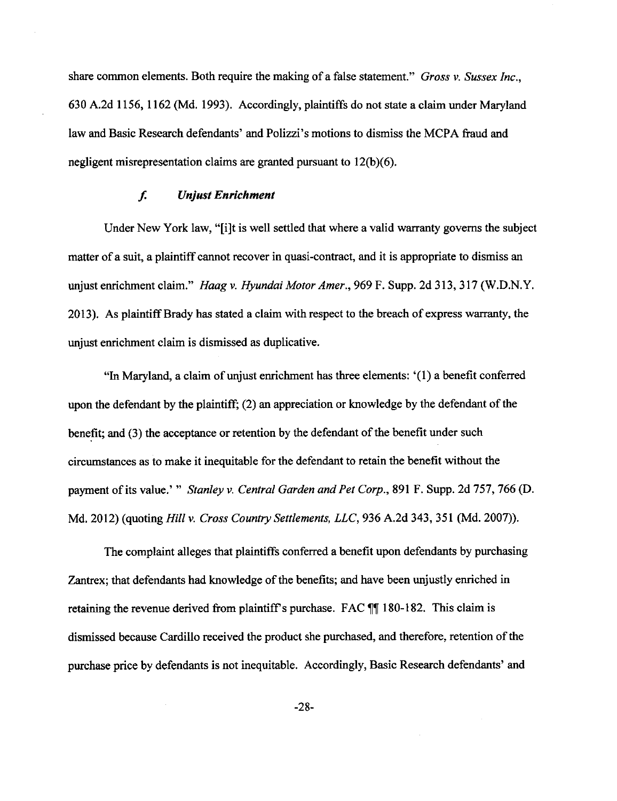share common elements. Both require the making of a false statement." *Gross v. Sussex Inc.,*  630 A.2d 1156, 1162 (Md. 1993). Accordingly, plaintiffs do not state a claim under Maryland law and Basic Research defendants' and Polizzi's motions to dismiss the MCPA fraud and negligent misrepresentation claims are granted pursuant to  $12(b)(6)$ .

# **f.** *Unjust Enrichment*

Under New York law, "[i]t is well settled that where a valid warranty governs the subject matter of a suit, a plaintiff cannot recover in quasi-contract, and it is appropriate to dismiss an unjust enrichment claim." *Haag v. Hyundai Motor Amer.,* 969 F. Supp. 2d 313, 317 (W.D.N.Y. 2013). As plaintiff Brady has stated a claim with respect to the breach of express warranty, the unjust enrichment claim is dismissed as duplicative.

"In Maryland, a claim of unjust enrichment has three elements: **'(1)** a benefit conferred upon the defendant by the plaintiff; (2) an appreciation or knowledge by the defendant of the benefit; and (3) the acceptance or retention by the defendant of the benefit under such circumstances as to make it inequitable for the defendant to retain the benefit without the payment of its value.'" *Stanley v. Central Garden and Pet Corp.,* 891 F. Supp. 2d 757, 766 (D. Md. 2012) (quoting *Hill v. Cross Country Settlements, LLC,* 936 A.2d 343, 351 (Md. 2007)).

The complaint alleges that plaintiffs conferred a benefit upon defendants by purchasing Zantrex; that defendants had knowledge of the benefits; and have been unjustly enriched in retaining the revenue derived from plaintiff's purchase. FAC  $\P$  180-182. This claim is dismissed because Cardillo received the product she purchased, and therefore, retention of the purchase price by defendants is not inequitable. Accordingly, Basic Research defendants' and

-28-